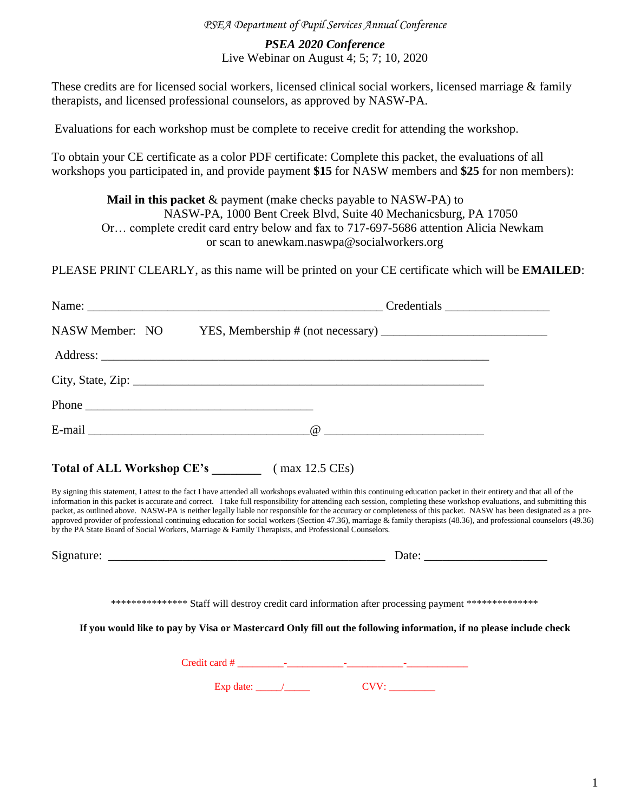## *PSEA Department of Pupil Services Annual Conference*

## *PSEA 2020 Conference*  Live Webinar on August 4; 5; 7; 10, 2020

These credits are for licensed social workers, licensed clinical social workers, licensed marriage & family therapists, and licensed professional counselors, as approved by NASW-PA.

Evaluations for each workshop must be complete to receive credit for attending the workshop.

To obtain your CE certificate as a color PDF certificate: Complete this packet, the evaluations of all workshops you participated in, and provide payment **\$15** for NASW members and **\$25** for non members):

**Mail in this packet** & payment (make checks payable to NASW-PA) to NASW-PA, 1000 Bent Creek Blvd, Suite 40 Mechanicsburg, PA 17050 Or… complete credit card entry below and fax to 717-697-5686 attention Alicia Newkam or scan to anewkam.naswpa@socialworkers.org

PLEASE PRINT CLEARLY, as this name will be printed on your CE certificate which will be **EMAILED**:

| NASW Member: NO |                                                                                                                                                                                                                                                                                                                                                                                                                                                                                                                                                                                                                                                                                                                                                                                                   |
|-----------------|---------------------------------------------------------------------------------------------------------------------------------------------------------------------------------------------------------------------------------------------------------------------------------------------------------------------------------------------------------------------------------------------------------------------------------------------------------------------------------------------------------------------------------------------------------------------------------------------------------------------------------------------------------------------------------------------------------------------------------------------------------------------------------------------------|
|                 |                                                                                                                                                                                                                                                                                                                                                                                                                                                                                                                                                                                                                                                                                                                                                                                                   |
|                 |                                                                                                                                                                                                                                                                                                                                                                                                                                                                                                                                                                                                                                                                                                                                                                                                   |
| Phone           |                                                                                                                                                                                                                                                                                                                                                                                                                                                                                                                                                                                                                                                                                                                                                                                                   |
|                 |                                                                                                                                                                                                                                                                                                                                                                                                                                                                                                                                                                                                                                                                                                                                                                                                   |
|                 | Total of ALL Workshop CE's (max 12.5 CEs)                                                                                                                                                                                                                                                                                                                                                                                                                                                                                                                                                                                                                                                                                                                                                         |
|                 | By signing this statement, I attest to the fact I have attended all workshops evaluated within this continuing education packet in their entirety and that all of the<br>information in this packet is accurate and correct. I take full responsibility for attending each session, completing these workshop evaluations, and submitting this<br>packet, as outlined above. NASW-PA is neither legally liable nor responsible for the accuracy or completeness of this packet. NASW has been designated as a pre-<br>approved provider of professional continuing education for social workers (Section 47.36), marriage & family therapists (48.36), and professional counselors (49.36)<br>by the PA State Board of Social Workers, Marriage & Family Therapists, and Professional Counselors. |
|                 |                                                                                                                                                                                                                                                                                                                                                                                                                                                                                                                                                                                                                                                                                                                                                                                                   |

Signature: \_\_\_\_\_\_\_\_\_\_\_\_\_\_\_\_\_\_\_\_\_\_\_\_\_\_\_\_\_\_\_\_\_\_\_\_\_\_\_\_\_\_\_\_\_ Date: \_\_\_\_\_\_\_\_\_\_\_\_\_\_\_\_\_\_\_\_

\*\*\*\*\*\*\*\*\*\*\*\*\*\*\* Staff will destroy credit card information after processing payment \*\*\*\*\*\*\*\*\*\*\*\*\*\*

**If you would like to pay by Visa or Mastercard Only fill out the following information, if no please include check**

Credit card # \_\_\_\_\_\_\_\_\_-\_\_\_\_\_\_\_\_\_\_\_-\_\_\_\_\_\_\_\_\_\_\_-\_\_\_\_\_\_\_\_\_\_\_\_

Exp date: \_\_\_\_\_/\_\_\_\_\_ CVV: \_\_\_\_\_\_\_\_\_